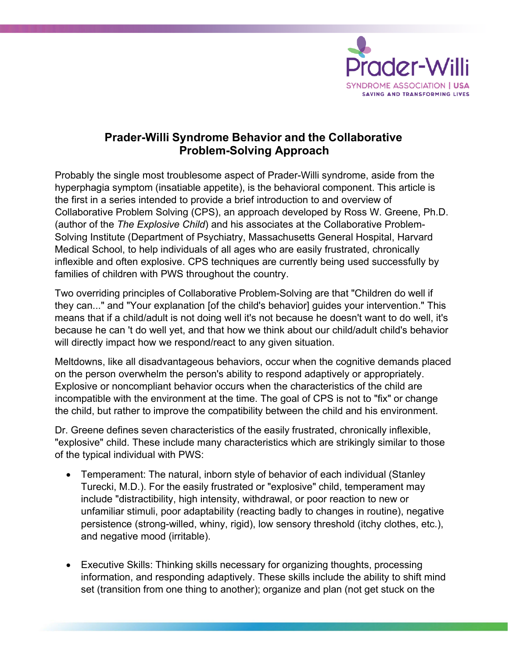

## **Prader-Willi Syndrome Behavior and the Collaborative Problem-Solving Approach**

Probably the single most troublesome aspect of Prader-Willi syndrome, aside from the hyperphagia symptom (insatiable appetite), is the behavioral component. This article is the first in a series intended to provide a brief introduction to and overview of Collaborative Problem Solving (CPS), an approach developed by Ross W. Greene, Ph.D. (author of the *The Explosive Child*) and his associates at the Collaborative Problem-Solving Institute (Department of Psychiatry, Massachusetts General Hospital, Harvard Medical School, to help individuals of all ages who are easily frustrated, chronically inflexible and often explosive. CPS techniques are currently being used successfully by families of children with PWS throughout the country.

Two overriding principles of Collaborative Problem-Solving are that "Children do well if they can..." and "Your explanation [of the child's behavior] guides your intervention." This means that if a child/adult is not doing well it's not because he doesn't want to do well, it's because he can 't do well yet, and that how we think about our child/adult child's behavior will directly impact how we respond/react to any given situation.

Meltdowns, like all disadvantageous behaviors, occur when the cognitive demands placed on the person overwhelm the person's ability to respond adaptively or appropriately. Explosive or noncompliant behavior occurs when the characteristics of the child are incompatible with the environment at the time. The goal of CPS is not to "fix" or change the child, but rather to improve the compatibility between the child and his environment.

Dr. Greene defines seven characteristics of the easily frustrated, chronically inflexible, "explosive" child. These include many characteristics which are strikingly similar to those of the typical individual with PWS:

- Temperament: The natural, inborn style of behavior of each individual (Stanley Turecki, M.D.). For the easily frustrated or "explosive" child, temperament may include "distractibility, high intensity, withdrawal, or poor reaction to new or unfamiliar stimuli, poor adaptability (reacting badly to changes in routine), negative persistence (strong-willed, whiny, rigid), low sensory threshold (itchy clothes, etc.), and negative mood (irritable).
- Executive Skills: Thinking skills necessary for organizing thoughts, processing information, and responding adaptively. These skills include the ability to shift mind set (transition from one thing to another); organize and plan (not get stuck on the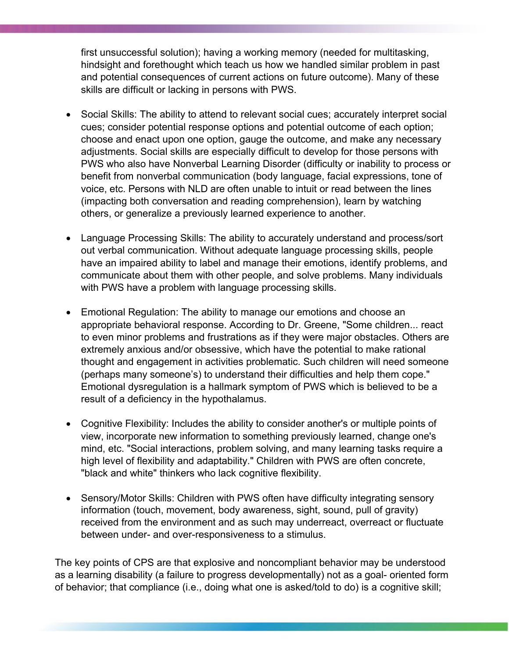first unsuccessful solution); having a working memory (needed for multitasking, hindsight and forethought which teach us how we handled similar problem in past and potential consequences of current actions on future outcome). Many of these skills are difficult or lacking in persons with PWS.

- Social Skills: The ability to attend to relevant social cues; accurately interpret social cues; consider potential response options and potential outcome of each option; choose and enact upon one option, gauge the outcome, and make any necessary adjustments. Social skills are especially difficult to develop for those persons with PWS who also have Nonverbal Learning Disorder (difficulty or inability to process or benefit from nonverbal communication (body language, facial expressions, tone of voice, etc. Persons with NLD are often unable to intuit or read between the lines (impacting both conversation and reading comprehension), learn by watching others, or generalize a previously learned experience to another.
- Language Processing Skills: The ability to accurately understand and process/sort out verbal communication. Without adequate language processing skills, people have an impaired ability to label and manage their emotions, identify problems, and communicate about them with other people, and solve problems. Many individuals with PWS have a problem with language processing skills.
- Emotional Regulation: The ability to manage our emotions and choose an appropriate behavioral response. According to Dr. Greene, "Some children... react to even minor problems and frustrations as if they were major obstacles. Others are extremely anxious and/or obsessive, which have the potential to make rational thought and engagement in activities problematic. Such children will need someone (perhaps many someone's) to understand their difficulties and help them cope." Emotional dysregulation is a hallmark symptom of PWS which is believed to be a result of a deficiency in the hypothalamus.
- Cognitive Flexibility: Includes the ability to consider another's or multiple points of view, incorporate new information to something previously learned, change one's mind, etc. "Social interactions, problem solving, and many learning tasks require a high level of flexibility and adaptability." Children with PWS are often concrete, "black and white" thinkers who lack cognitive flexibility.
- Sensory/Motor Skills: Children with PWS often have difficulty integrating sensory information (touch, movement, body awareness, sight, sound, pull of gravity) received from the environment and as such may underreact, overreact or fluctuate between under- and over-responsiveness to a stimulus.

The key points of CPS are that explosive and noncompliant behavior may be understood as a learning disability (a failure to progress developmentally) not as a goal- oriented form of behavior; that compliance (i.e., doing what one is asked/told to do) is a cognitive skill;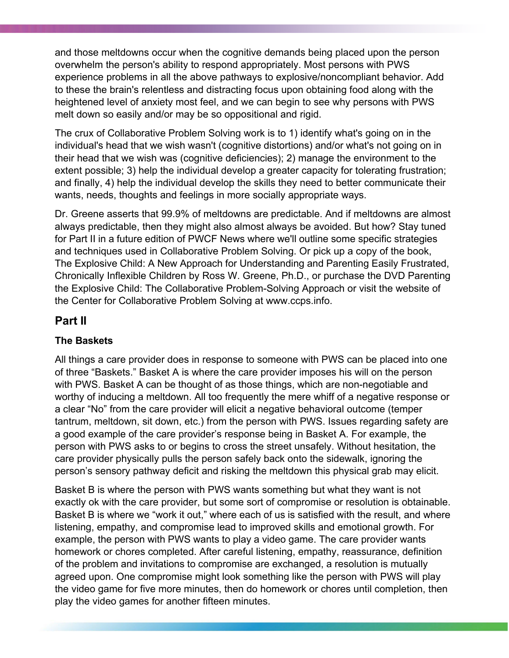and those meltdowns occur when the cognitive demands being placed upon the person overwhelm the person's ability to respond appropriately. Most persons with PWS experience problems in all the above pathways to explosive/noncompliant behavior. Add to these the brain's relentless and distracting focus upon obtaining food along with the heightened level of anxiety most feel, and we can begin to see why persons with PWS melt down so easily and/or may be so oppositional and rigid.

The crux of Collaborative Problem Solving work is to 1) identify what's going on in the individual's head that we wish wasn't (cognitive distortions) and/or what's not going on in their head that we wish was (cognitive deficiencies); 2) manage the environment to the extent possible; 3) help the individual develop a greater capacity for tolerating frustration; and finally, 4) help the individual develop the skills they need to better communicate their wants, needs, thoughts and feelings in more socially appropriate ways.

Dr. Greene asserts that 99.9% of meltdowns are predictable. And if meltdowns are almost always predictable, then they might also almost always be avoided. But how? Stay tuned for Part II in a future edition of PWCF News where we'll outline some specific strategies and techniques used in Collaborative Problem Solving. Or pick up a copy of the book, The Explosive Child: A New Approach for Understanding and Parenting Easily Frustrated, Chronically Inflexible Children by Ross W. Greene, Ph.D., or purchase the DVD Parenting the Explosive Child: The Collaborative Problem-Solving Approach or visit the website of the Center for Collaborative Problem Solving at [www.ccps.info.](http://www.ccps.info/)

# **Part II**

### **The Baskets**

All things a care provider does in response to someone with PWS can be placed into one of three "Baskets." Basket A is where the care provider imposes his will on the person with PWS. Basket A can be thought of as those things, which are non-negotiable and worthy of inducing a meltdown. All too frequently the mere whiff of a negative response or a clear "No" from the care provider will elicit a negative behavioral outcome (temper tantrum, meltdown, sit down, etc.) from the person with PWS. Issues regarding safety are a good example of the care provider's response being in Basket A. For example, the person with PWS asks to or begins to cross the street unsafely. Without hesitation, the care provider physically pulls the person safely back onto the sidewalk, ignoring the person's sensory pathway deficit and risking the meltdown this physical grab may elicit.

Basket B is where the person with PWS wants something but what they want is not exactly ok with the care provider, but some sort of compromise or resolution is obtainable. Basket B is where we "work it out," where each of us is satisfied with the result, and where listening, empathy, and compromise lead to improved skills and emotional growth. For example, the person with PWS wants to play a video game. The care provider wants homework or chores completed. After careful listening, empathy, reassurance, definition of the problem and invitations to compromise are exchanged, a resolution is mutually agreed upon. One compromise might look something like the person with PWS will play the video game for five more minutes, then do homework or chores until completion, then play the video games for another fifteen minutes.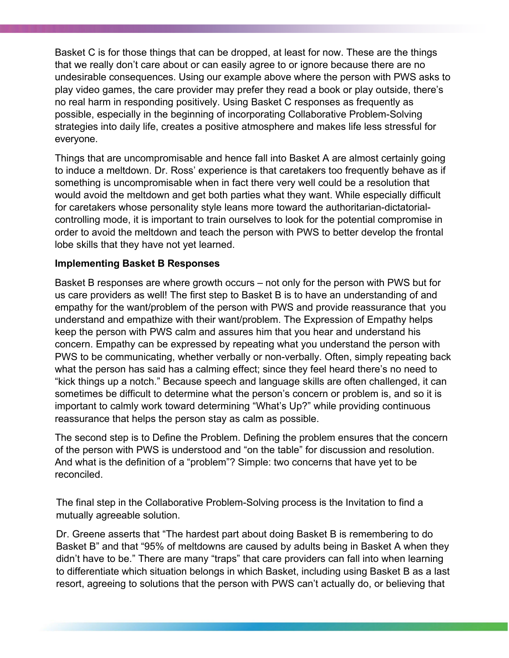Basket C is for those things that can be dropped, at least for now. These are the things that we really don't care about or can easily agree to or ignore because there are no undesirable consequences. Using our example above where the person with PWS asks to play video games, the care provider may prefer they read a book or play outside, there's no real harm in responding positively. Using Basket C responses as frequently as possible, especially in the beginning of incorporating Collaborative Problem-Solving strategies into daily life, creates a positive atmosphere and makes life less stressful for everyone.

Things that are uncompromisable and hence fall into Basket A are almost certainly going to induce a meltdown. Dr. Ross' experience is that caretakers too frequently behave as if something is uncompromisable when in fact there very well could be a resolution that would avoid the meltdown and get both parties what they want. While especially difficult for caretakers whose personality style leans more toward the authoritarian-dictatorialcontrolling mode, it is important to train ourselves to look for the potential compromise in order to avoid the meltdown and teach the person with PWS to better develop the frontal lobe skills that they have not yet learned.

#### **Implementing Basket B Responses**

Basket B responses are where growth occurs – not only for the person with PWS but for us care providers as well! The first step to Basket B is to have an understanding of and empathy for the want/problem of the person with PWS and provide reassurance that you understand and empathize with their want/problem. The Expression of Empathy helps keep the person with PWS calm and assures him that you hear and understand his concern. Empathy can be expressed by repeating what you understand the person with PWS to be communicating, whether verbally or non-verbally. Often, simply repeating back what the person has said has a calming effect; since they feel heard there's no need to "kick things up a notch." Because speech and language skills are often challenged, it can sometimes be difficult to determine what the person's concern or problem is, and so it is important to calmly work toward determining "What's Up?" while providing continuous reassurance that helps the person stay as calm as possible.

The second step is to Define the Problem. Defining the problem ensures that the concern of the person with PWS is understood and "on the table" for discussion and resolution. And what is the definition of a "problem"? Simple: two concerns that have yet to be reconciled.

The final step in the Collaborative Problem-Solving process is the Invitation to find a mutually agreeable solution.

Dr. Greene asserts that "The hardest part about doing Basket B is remembering to do Basket B" and that "95% of meltdowns are caused by adults being in Basket A when they didn't have to be." There are many "traps" that care providers can fall into when learning to differentiate which situation belongs in which Basket, including using Basket B as a last resort, agreeing to solutions that the person with PWS can't actually do, or believing that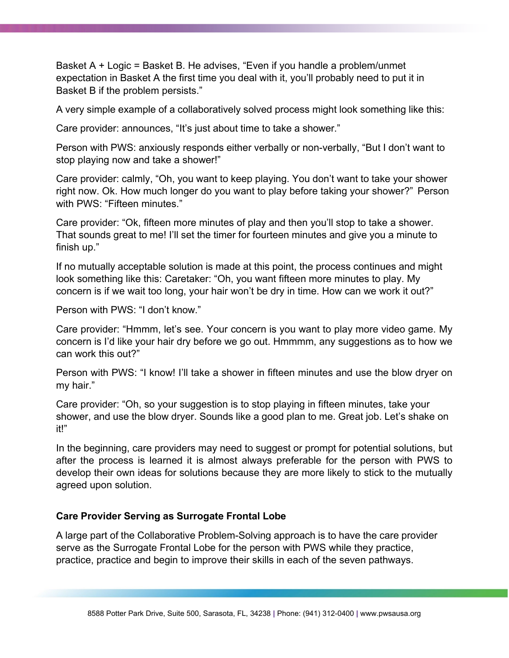Basket A + Logic = Basket B. He advises, "Even if you handle a problem/unmet expectation in Basket A the first time you deal with it, you'll probably need to put it in Basket B if the problem persists."

A very simple example of a collaboratively solved process might look something like this:

Care provider: announces, "It's just about time to take a shower."

Person with PWS: anxiously responds either verbally or non-verbally, "But I don't want to stop playing now and take a shower!"

Care provider: calmly, "Oh, you want to keep playing. You don't want to take your shower right now. Ok. How much longer do you want to play before taking your shower?" Person with PWS: "Fifteen minutes."

Care provider: "Ok, fifteen more minutes of play and then you'll stop to take a shower. That sounds great to me! I'll set the timer for fourteen minutes and give you a minute to finish up."

If no mutually acceptable solution is made at this point, the process continues and might look something like this: Caretaker: "Oh, you want fifteen more minutes to play. My concern is if we wait too long, your hair won't be dry in time. How can we work it out?"

Person with PWS: "I don't know."

Care provider: "Hmmm, let's see. Your concern is you want to play more video game. My concern is I'd like your hair dry before we go out. Hmmmm, any suggestions as to how we can work this out?"

Person with PWS: "I know! I'll take a shower in fifteen minutes and use the blow dryer on my hair."

Care provider: "Oh, so your suggestion is to stop playing in fifteen minutes, take your shower, and use the blow dryer. Sounds like a good plan to me. Great job. Let's shake on it!"

In the beginning, care providers may need to suggest or prompt for potential solutions, but after the process is learned it is almost always preferable for the person with PWS to develop their own ideas for solutions because they are more likely to stick to the mutually agreed upon solution.

#### **Care Provider Serving as Surrogate Frontal Lobe**

A large part of the Collaborative Problem-Solving approach is to have the care provider serve as the Surrogate Frontal Lobe for the person with PWS while they practice, practice, practice and begin to improve their skills in each of the seven pathways.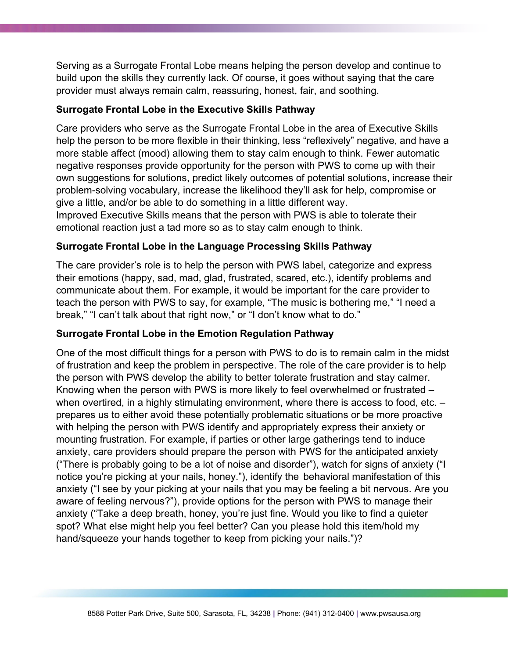Serving as a Surrogate Frontal Lobe means helping the person develop and continue to build upon the skills they currently lack. Of course, it goes without saying that the care provider must always remain calm, reassuring, honest, fair, and soothing.

#### **Surrogate Frontal Lobe in the Executive Skills Pathway**

Care providers who serve as the Surrogate Frontal Lobe in the area of Executive Skills help the person to be more flexible in their thinking, less "reflexively" negative, and have a more stable affect (mood) allowing them to stay calm enough to think. Fewer automatic negative responses provide opportunity for the person with PWS to come up with their own suggestions for solutions, predict likely outcomes of potential solutions, increase their problem-solving vocabulary, increase the likelihood they'll ask for help, compromise or give a little, and/or be able to do something in a little different way.

Improved Executive Skills means that the person with PWS is able to tolerate their emotional reaction just a tad more so as to stay calm enough to think.

### **Surrogate Frontal Lobe in the Language Processing Skills Pathway**

The care provider's role is to help the person with PWS label, categorize and express their emotions (happy, sad, mad, glad, frustrated, scared, etc.), identify problems and communicate about them. For example, it would be important for the care provider to teach the person with PWS to say, for example, "The music is bothering me," "I need a break," "I can't talk about that right now," or "I don't know what to do."

#### **Surrogate Frontal Lobe in the Emotion Regulation Pathway**

One of the most difficult things for a person with PWS to do is to remain calm in the midst of frustration and keep the problem in perspective. The role of the care provider is to help the person with PWS develop the ability to better tolerate frustration and stay calmer. Knowing when the person with PWS is more likely to feel overwhelmed or frustrated – when overtired, in a highly stimulating environment, where there is access to food, etc. – prepares us to either avoid these potentially problematic situations or be more proactive with helping the person with PWS identify and appropriately express their anxiety or mounting frustration. For example, if parties or other large gatherings tend to induce anxiety, care providers should prepare the person with PWS for the anticipated anxiety ("There is probably going to be a lot of noise and disorder"), watch for signs of anxiety ("I notice you're picking at your nails, honey."), identify the behavioral manifestation of this anxiety ("I see by your picking at your nails that you may be feeling a bit nervous. Are you aware of feeling nervous?"), provide options for the person with PWS to manage their anxiety ("Take a deep breath, honey, you're just fine. Would you like to find a quieter spot? What else might help you feel better? Can you please hold this item/hold my hand/squeeze your hands together to keep from picking your nails.")?